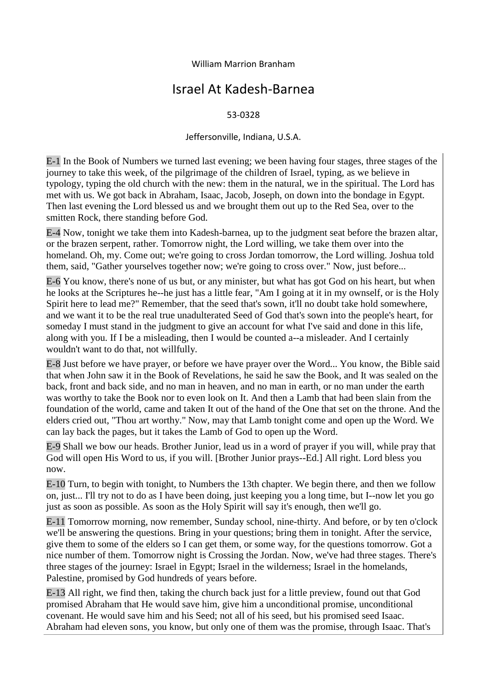## William Marrion Branham

## Israel At Kadesh-Barnea

## 53-0328

## Jeffersonville, Indiana, U.S.A.

E-1 In the Book of Numbers we turned last evening; we been having four stages, three stages of the journey to take this week, of the pilgrimage of the children of Israel, typing, as we believe in typology, typing the old church with the new: them in the natural, we in the spiritual. The Lord has met with us. We got back in Abraham, Isaac, Jacob, Joseph, on down into the bondage in Egypt. Then last evening the Lord blessed us and we brought them out up to the Red Sea, over to the smitten Rock, there standing before God.

E-4 Now, tonight we take them into Kadesh-barnea, up to the judgment seat before the brazen altar, or the brazen serpent, rather. Tomorrow night, the Lord willing, we take them over into the homeland. Oh, my. Come out; we're going to cross Jordan tomorrow, the Lord willing. Joshua told them, said, "Gather yourselves together now; we're going to cross over." Now, just before...

E-6 You know, there's none of us but, or any minister, but what has got God on his heart, but when he looks at the Scriptures he--he just has a little fear, "Am I going at it in my ownself, or is the Holy Spirit here to lead me?" Remember, that the seed that's sown, it'll no doubt take hold somewhere, and we want it to be the real true unadulterated Seed of God that's sown into the people's heart, for someday I must stand in the judgment to give an account for what I've said and done in this life, along with you. If I be a misleading, then I would be counted a--a misleader. And I certainly wouldn't want to do that, not willfully.

E-8 Just before we have prayer, or before we have prayer over the Word... You know, the Bible said that when John saw it in the Book of Revelations, he said he saw the Book, and It was sealed on the back, front and back side, and no man in heaven, and no man in earth, or no man under the earth was worthy to take the Book nor to even look on It. And then a Lamb that had been slain from the foundation of the world, came and taken It out of the hand of the One that set on the throne. And the elders cried out, "Thou art worthy." Now, may that Lamb tonight come and open up the Word. We can lay back the pages, but it takes the Lamb of God to open up the Word.

E-9 Shall we bow our heads. Brother Junior, lead us in a word of prayer if you will, while pray that God will open His Word to us, if you will. [Brother Junior prays--Ed.] All right. Lord bless you now.

E-10 Turn, to begin with tonight, to Numbers the 13th chapter. We begin there, and then we follow on, just... I'll try not to do as I have been doing, just keeping you a long time, but I--now let you go just as soon as possible. As soon as the Holy Spirit will say it's enough, then we'll go.

E-11 Tomorrow morning, now remember, Sunday school, nine-thirty. And before, or by ten o'clock we'll be answering the questions. Bring in your questions; bring them in tonight. After the service, give them to some of the elders so I can get them, or some way, for the questions tomorrow. Got a nice number of them. Tomorrow night is Crossing the Jordan. Now, we've had three stages. There's three stages of the journey: Israel in Egypt; Israel in the wilderness; Israel in the homelands, Palestine, promised by God hundreds of years before.

E-13 All right, we find then, taking the church back just for a little preview, found out that God promised Abraham that He would save him, give him a unconditional promise, unconditional covenant. He would save him and his Seed; not all of his seed, but his promised seed Isaac. Abraham had eleven sons, you know, but only one of them was the promise, through Isaac. That's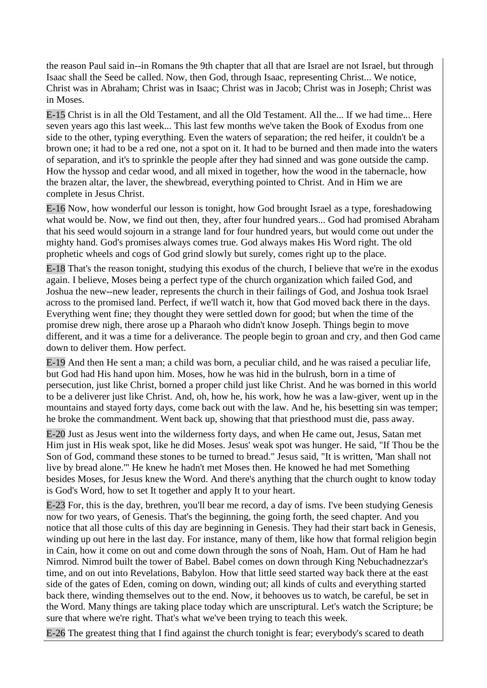the reason Paul said in--in Romans the 9th chapter that all that are Israel are not Israel, but through Isaac shall the Seed be called. Now, then God, through Isaac, representing Christ... We notice, Christ was in Abraham; Christ was in Isaac; Christ was in Jacob; Christ was in Joseph; Christ was in Moses.

E-15 Christ is in all the Old Testament, and all the Old Testament. All the... If we had time... Here seven years ago this last week... This last few months we've taken the Book of Exodus from one side to the other, typing everything. Even the waters of separation; the red heifer, it couldn't be a brown one; it had to be a red one, not a spot on it. It had to be burned and then made into the waters of separation, and it's to sprinkle the people after they had sinned and was gone outside the camp. How the hyssop and cedar wood, and all mixed in together, how the wood in the tabernacle, how the brazen altar, the laver, the shewbread, everything pointed to Christ. And in Him we are complete in Jesus Christ.

E-16 Now, how wonderful our lesson is tonight, how God brought Israel as a type, foreshadowing what would be. Now, we find out then, they, after four hundred years... God had promised Abraham that his seed would sojourn in a strange land for four hundred years, but would come out under the mighty hand. God's promises always comes true. God always makes His Word right. The old prophetic wheels and cogs of God grind slowly but surely, comes right up to the place.

E-18 That's the reason tonight, studying this exodus of the church, I believe that we're in the exodus again. I believe, Moses being a perfect type of the church organization which failed God, and Joshua the new--new leader, represents the church in their failings of God, and Joshua took Israel across to the promised land. Perfect, if we'll watch it, how that God moved back there in the days. Everything went fine; they thought they were settled down for good; but when the time of the promise drew nigh, there arose up a Pharaoh who didn't know Joseph. Things begin to move different, and it was a time for a deliverance. The people begin to groan and cry, and then God came down to deliver them. How perfect.

E-19 And then He sent a man; a child was born, a peculiar child, and he was raised a peculiar life, but God had His hand upon him. Moses, how he was hid in the bulrush, born in a time of persecution, just like Christ, borned a proper child just like Christ. And he was borned in this world to be a deliverer just like Christ. And, oh, how he, his work, how he was a law-giver, went up in the mountains and stayed forty days, come back out with the law. And he, his besetting sin was temper; he broke the commandment. Went back up, showing that that priesthood must die, pass away.

E-20 Just as Jesus went into the wilderness forty days, and when He came out, Jesus, Satan met Him just in His weak spot, like he did Moses. Jesus' weak spot was hunger. He said, "If Thou be the Son of God, command these stones to be turned to bread." Jesus said, "It is written, 'Man shall not live by bread alone.'" He knew he hadn't met Moses then. He knowed he had met Something besides Moses, for Jesus knew the Word. And there's anything that the church ought to know today is God's Word, how to set It together and apply It to your heart.

E-23 For, this is the day, brethren, you'll bear me record, a day of isms. I've been studying Genesis now for two years, of Genesis. That's the beginning, the going forth, the seed chapter. And you notice that all those cults of this day are beginning in Genesis. They had their start back in Genesis, winding up out here in the last day. For instance, many of them, like how that formal religion begin in Cain, how it come on out and come down through the sons of Noah, Ham. Out of Ham he had Nimrod. Nimrod built the tower of Babel. Babel comes on down through King Nebuchadnezzar's time, and on out into Revelations, Babylon. How that little seed started way back there at the east side of the gates of Eden, coming on down, winding out; all kinds of cults and everything started back there, winding themselves out to the end. Now, it behooves us to watch, be careful, be set in the Word. Many things are taking place today which are unscriptural. Let's watch the Scripture; be sure that where we're right. That's what we've been trying to teach this week.

E-26 The greatest thing that I find against the church tonight is fear; everybody's scared to death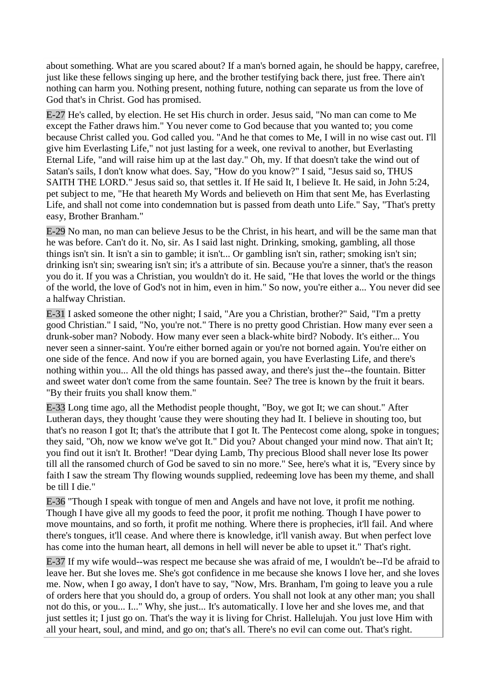about something. What are you scared about? If a man's borned again, he should be happy, carefree, just like these fellows singing up here, and the brother testifying back there, just free. There ain't nothing can harm you. Nothing present, nothing future, nothing can separate us from the love of God that's in Christ. God has promised.

E-27 He's called, by election. He set His church in order. Jesus said, "No man can come to Me except the Father draws him." You never come to God because that you wanted to; you come because Christ called you. God called you. "And he that comes to Me, I will in no wise cast out. I'll give him Everlasting Life," not just lasting for a week, one revival to another, but Everlasting Eternal Life, "and will raise him up at the last day." Oh, my. If that doesn't take the wind out of Satan's sails, I don't know what does. Say, "How do you know?" I said, "Jesus said so, THUS SAITH THE LORD." Jesus said so, that settles it. If He said It, I believe It. He said, in John 5:24, pet subject to me, "He that heareth My Words and believeth on Him that sent Me, has Everlasting Life, and shall not come into condemnation but is passed from death unto Life." Say, "That's pretty easy, Brother Branham."

E-29 No man, no man can believe Jesus to be the Christ, in his heart, and will be the same man that he was before. Can't do it. No, sir. As I said last night. Drinking, smoking, gambling, all those things isn't sin. It isn't a sin to gamble; it isn't... Or gambling isn't sin, rather; smoking isn't sin; drinking isn't sin; swearing isn't sin; it's a attribute of sin. Because you're a sinner, that's the reason you do it. If you was a Christian, you wouldn't do it. He said, "He that loves the world or the things of the world, the love of God's not in him, even in him." So now, you're either a... You never did see a halfway Christian.

E-31 I asked someone the other night; I said, "Are you a Christian, brother?" Said, "I'm a pretty good Christian." I said, "No, you're not." There is no pretty good Christian. How many ever seen a drunk-sober man? Nobody. How many ever seen a black-white bird? Nobody. It's either... You never seen a sinner-saint. You're either borned again or you're not borned again. You're either on one side of the fence. And now if you are borned again, you have Everlasting Life, and there's nothing within you... All the old things has passed away, and there's just the--the fountain. Bitter and sweet water don't come from the same fountain. See? The tree is known by the fruit it bears. "By their fruits you shall know them."

E-33 Long time ago, all the Methodist people thought, "Boy, we got It; we can shout." After Lutheran days, they thought 'cause they were shouting they had It. I believe in shouting too, but that's no reason I got It; that's the attribute that I got It. The Pentecost come along, spoke in tongues; they said, "Oh, now we know we've got It." Did you? About changed your mind now. That ain't It; you find out it isn't It. Brother! "Dear dying Lamb, Thy precious Blood shall never lose Its power till all the ransomed church of God be saved to sin no more." See, here's what it is, "Every since by faith I saw the stream Thy flowing wounds supplied, redeeming love has been my theme, and shall be till I die."

E-36 "Though I speak with tongue of men and Angels and have not love, it profit me nothing. Though I have give all my goods to feed the poor, it profit me nothing. Though I have power to move mountains, and so forth, it profit me nothing. Where there is prophecies, it'll fail. And where there's tongues, it'll cease. And where there is knowledge, it'll vanish away. But when perfect love has come into the human heart, all demons in hell will never be able to upset it." That's right.

E-37 If my wife would--was respect me because she was afraid of me, I wouldn't be--I'd be afraid to leave her. But she loves me. She's got confidence in me because she knows I love her, and she loves me. Now, when I go away, I don't have to say, "Now, Mrs. Branham, I'm going to leave you a rule of orders here that you should do, a group of orders. You shall not look at any other man; you shall not do this, or you... I..." Why, she just... It's automatically. I love her and she loves me, and that just settles it; I just go on. That's the way it is living for Christ. Hallelujah. You just love Him with all your heart, soul, and mind, and go on; that's all. There's no evil can come out. That's right.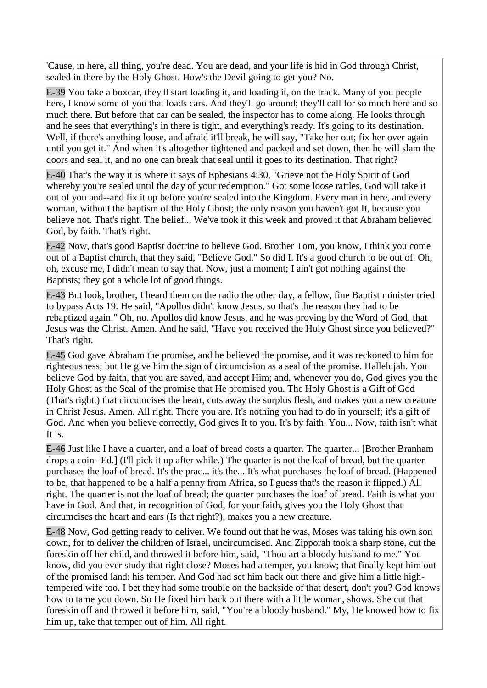'Cause, in here, all thing, you're dead. You are dead, and your life is hid in God through Christ, sealed in there by the Holy Ghost. How's the Devil going to get you? No.

E-39 You take a boxcar, they'll start loading it, and loading it, on the track. Many of you people here, I know some of you that loads cars. And they'll go around; they'll call for so much here and so much there. But before that car can be sealed, the inspector has to come along. He looks through and he sees that everything's in there is tight, and everything's ready. It's going to its destination. Well, if there's anything loose, and afraid it'll break, he will say, "Take her out; fix her over again until you get it." And when it's altogether tightened and packed and set down, then he will slam the doors and seal it, and no one can break that seal until it goes to its destination. That right?

E-40 That's the way it is where it says of Ephesians 4:30, "Grieve not the Holy Spirit of God whereby you're sealed until the day of your redemption." Got some loose rattles, God will take it out of you and--and fix it up before you're sealed into the Kingdom. Every man in here, and every woman, without the baptism of the Holy Ghost; the only reason you haven't got It, because you believe not. That's right. The belief... We've took it this week and proved it that Abraham believed God, by faith. That's right.

E-42 Now, that's good Baptist doctrine to believe God. Brother Tom, you know, I think you come out of a Baptist church, that they said, "Believe God." So did I. It's a good church to be out of. Oh, oh, excuse me, I didn't mean to say that. Now, just a moment; I ain't got nothing against the Baptists; they got a whole lot of good things.

E-43 But look, brother, I heard them on the radio the other day, a fellow, fine Baptist minister tried to bypass Acts 19. He said, "Apollos didn't know Jesus, so that's the reason they had to be rebaptized again." Oh, no. Apollos did know Jesus, and he was proving by the Word of God, that Jesus was the Christ. Amen. And he said, "Have you received the Holy Ghost since you believed?" That's right.

E-45 God gave Abraham the promise, and he believed the promise, and it was reckoned to him for righteousness; but He give him the sign of circumcision as a seal of the promise. Hallelujah. You believe God by faith, that you are saved, and accept Him; and, whenever you do, God gives you the Holy Ghost as the Seal of the promise that He promised you. The Holy Ghost is a Gift of God (That's right.) that circumcises the heart, cuts away the surplus flesh, and makes you a new creature in Christ Jesus. Amen. All right. There you are. It's nothing you had to do in yourself; it's a gift of God. And when you believe correctly, God gives It to you. It's by faith. You... Now, faith isn't what It is.

E-46 Just like I have a quarter, and a loaf of bread costs a quarter. The quarter... [Brother Branham drops a coin--Ed.] (I'll pick it up after while.) The quarter is not the loaf of bread, but the quarter purchases the loaf of bread. It's the prac... it's the... It's what purchases the loaf of bread. (Happened to be, that happened to be a half a penny from Africa, so I guess that's the reason it flipped.) All right. The quarter is not the loaf of bread; the quarter purchases the loaf of bread. Faith is what you have in God. And that, in recognition of God, for your faith, gives you the Holy Ghost that circumcises the heart and ears (Is that right?), makes you a new creature.

E-48 Now, God getting ready to deliver. We found out that he was, Moses was taking his own son down, for to deliver the children of Israel, uncircumcised. And Zipporah took a sharp stone, cut the foreskin off her child, and throwed it before him, said, "Thou art a bloody husband to me." You know, did you ever study that right close? Moses had a temper, you know; that finally kept him out of the promised land: his temper. And God had set him back out there and give him a little hightempered wife too. I bet they had some trouble on the backside of that desert, don't you? God knows how to tame you down. So He fixed him back out there with a little woman, shows. She cut that foreskin off and throwed it before him, said, "You're a bloody husband." My, He knowed how to fix him up, take that temper out of him. All right.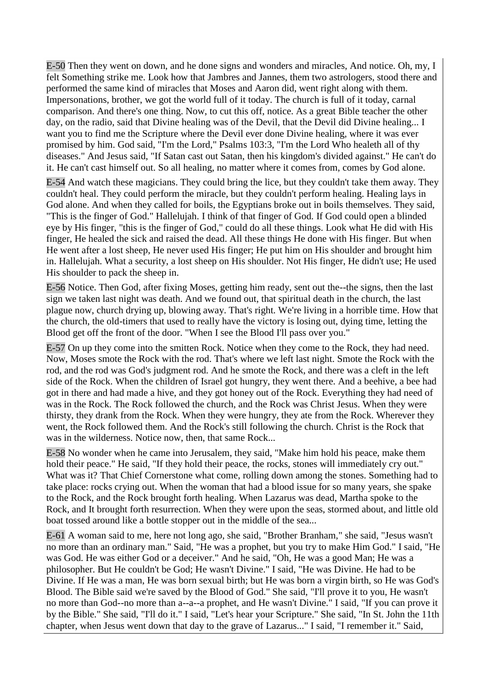E-50 Then they went on down, and he done signs and wonders and miracles, And notice. Oh, my, I felt Something strike me. Look how that Jambres and Jannes, them two astrologers, stood there and performed the same kind of miracles that Moses and Aaron did, went right along with them. Impersonations, brother, we got the world full of it today. The church is full of it today, carnal comparison. And there's one thing. Now, to cut this off, notice. As a great Bible teacher the other day, on the radio, said that Divine healing was of the Devil, that the Devil did Divine healing... I want you to find me the Scripture where the Devil ever done Divine healing, where it was ever promised by him. God said, "I'm the Lord," Psalms 103:3, "I'm the Lord Who healeth all of thy diseases." And Jesus said, "If Satan cast out Satan, then his kingdom's divided against." He can't do it. He can't cast himself out. So all healing, no matter where it comes from, comes by God alone.

E-54 And watch these magicians. They could bring the lice, but they couldn't take them away. They couldn't heal. They could perform the miracle, but they couldn't perform healing. Healing lays in God alone. And when they called for boils, the Egyptians broke out in boils themselves. They said, "This is the finger of God." Hallelujah. I think of that finger of God. If God could open a blinded eye by His finger, "this is the finger of God," could do all these things. Look what He did with His finger, He healed the sick and raised the dead. All these things He done with His finger. But when He went after a lost sheep, He never used His finger; He put him on His shoulder and brought him in. Hallelujah. What a security, a lost sheep on His shoulder. Not His finger, He didn't use; He used His shoulder to pack the sheep in.

E-56 Notice. Then God, after fixing Moses, getting him ready, sent out the--the signs, then the last sign we taken last night was death. And we found out, that spiritual death in the church, the last plague now, church drying up, blowing away. That's right. We're living in a horrible time. How that the church, the old-timers that used to really have the victory is losing out, dying time, letting the Blood get off the front of the door. "When I see the Blood I'll pass over you."

E-57 On up they come into the smitten Rock. Notice when they come to the Rock, they had need. Now, Moses smote the Rock with the rod. That's where we left last night. Smote the Rock with the rod, and the rod was God's judgment rod. And he smote the Rock, and there was a cleft in the left side of the Rock. When the children of Israel got hungry, they went there. And a beehive, a bee had got in there and had made a hive, and they got honey out of the Rock. Everything they had need of was in the Rock. The Rock followed the church, and the Rock was Christ Jesus. When they were thirsty, they drank from the Rock. When they were hungry, they ate from the Rock. Wherever they went, the Rock followed them. And the Rock's still following the church. Christ is the Rock that was in the wilderness. Notice now, then, that same Rock...

E-58 No wonder when he came into Jerusalem, they said, "Make him hold his peace, make them hold their peace." He said, "If they hold their peace, the rocks, stones will immediately cry out." What was it? That Chief Cornerstone what come, rolling down among the stones. Something had to take place: rocks crying out. When the woman that had a blood issue for so many years, she spake to the Rock, and the Rock brought forth healing. When Lazarus was dead, Martha spoke to the Rock, and It brought forth resurrection. When they were upon the seas, stormed about, and little old boat tossed around like a bottle stopper out in the middle of the sea...

E-61 A woman said to me, here not long ago, she said, "Brother Branham," she said, "Jesus wasn't no more than an ordinary man." Said, "He was a prophet, but you try to make Him God." I said, "He was God. He was either God or a deceiver." And he said, "Oh, He was a good Man; He was a philosopher. But He couldn't be God; He wasn't Divine." I said, "He was Divine. He had to be Divine. If He was a man, He was born sexual birth; but He was born a virgin birth, so He was God's Blood. The Bible said we're saved by the Blood of God." She said, "I'll prove it to you, He wasn't no more than God--no more than a--a--a prophet, and He wasn't Divine." I said, "If you can prove it by the Bible." She said, "I'll do it." I said, "Let's hear your Scripture." She said, "In St. John the 11th chapter, when Jesus went down that day to the grave of Lazarus..." I said, "I remember it." Said,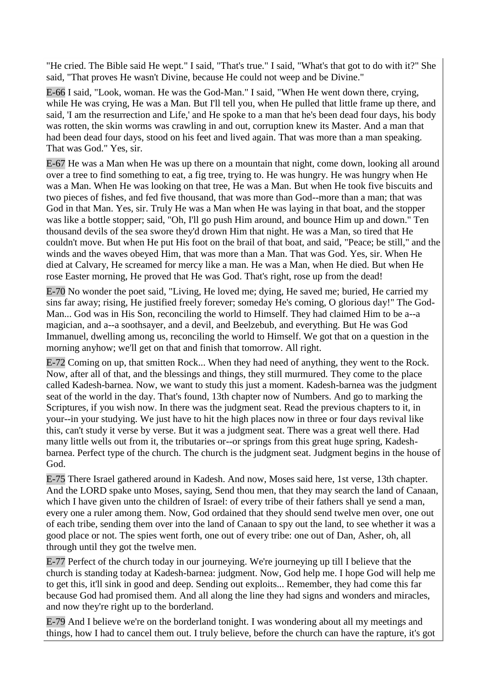"He cried. The Bible said He wept." I said, "That's true." I said, "What's that got to do with it?" She said, "That proves He wasn't Divine, because He could not weep and be Divine."

E-66 I said, "Look, woman. He was the God-Man." I said, "When He went down there, crying, while He was crying, He was a Man. But I'll tell you, when He pulled that little frame up there, and said, 'I am the resurrection and Life,' and He spoke to a man that he's been dead four days, his body was rotten, the skin worms was crawling in and out, corruption knew its Master. And a man that had been dead four days, stood on his feet and lived again. That was more than a man speaking. That was God." Yes, sir.

E-67 He was a Man when He was up there on a mountain that night, come down, looking all around over a tree to find something to eat, a fig tree, trying to. He was hungry. He was hungry when He was a Man. When He was looking on that tree, He was a Man. But when He took five biscuits and two pieces of fishes, and fed five thousand, that was more than God--more than a man; that was God in that Man. Yes, sir. Truly He was a Man when He was laying in that boat, and the stopper was like a bottle stopper; said, "Oh, I'll go push Him around, and bounce Him up and down." Ten thousand devils of the sea swore they'd drown Him that night. He was a Man, so tired that He couldn't move. But when He put His foot on the brail of that boat, and said, "Peace; be still," and the winds and the waves obeyed Him, that was more than a Man. That was God. Yes, sir. When He died at Calvary, He screamed for mercy like a man. He was a Man, when He died. But when He rose Easter morning, He proved that He was God. That's right, rose up from the dead!

E-70 No wonder the poet said, "Living, He loved me; dying, He saved me; buried, He carried my sins far away; rising, He justified freely forever; someday He's coming, O glorious day!" The God-Man... God was in His Son, reconciling the world to Himself. They had claimed Him to be a--a magician, and a--a soothsayer, and a devil, and Beelzebub, and everything. But He was God Immanuel, dwelling among us, reconciling the world to Himself. We got that on a question in the morning anyhow; we'll get on that and finish that tomorrow. All right.

E-72 Coming on up, that smitten Rock... When they had need of anything, they went to the Rock. Now, after all of that, and the blessings and things, they still murmured. They come to the place called Kadesh-barnea. Now, we want to study this just a moment. Kadesh-barnea was the judgment seat of the world in the day. That's found, 13th chapter now of Numbers. And go to marking the Scriptures, if you wish now. In there was the judgment seat. Read the previous chapters to it, in your--in your studying. We just have to hit the high places now in three or four days revival like this, can't study it verse by verse. But it was a judgment seat. There was a great well there. Had many little wells out from it, the tributaries or--or springs from this great huge spring, Kadeshbarnea. Perfect type of the church. The church is the judgment seat. Judgment begins in the house of God.

E-75 There Israel gathered around in Kadesh. And now, Moses said here, 1st verse, 13th chapter. And the LORD spake unto Moses, saying, Send thou men, that they may search the land of Canaan, which I have given unto the children of Israel: of every tribe of their fathers shall ye send a man, every one a ruler among them. Now, God ordained that they should send twelve men over, one out of each tribe, sending them over into the land of Canaan to spy out the land, to see whether it was a good place or not. The spies went forth, one out of every tribe: one out of Dan, Asher, oh, all through until they got the twelve men.

E-77 Perfect of the church today in our journeying. We're journeying up till I believe that the church is standing today at Kadesh-barnea: judgment. Now, God help me. I hope God will help me to get this, it'll sink in good and deep. Sending out exploits... Remember, they had come this far because God had promised them. And all along the line they had signs and wonders and miracles, and now they're right up to the borderland.

E-79 And I believe we're on the borderland tonight. I was wondering about all my meetings and things, how I had to cancel them out. I truly believe, before the church can have the rapture, it's got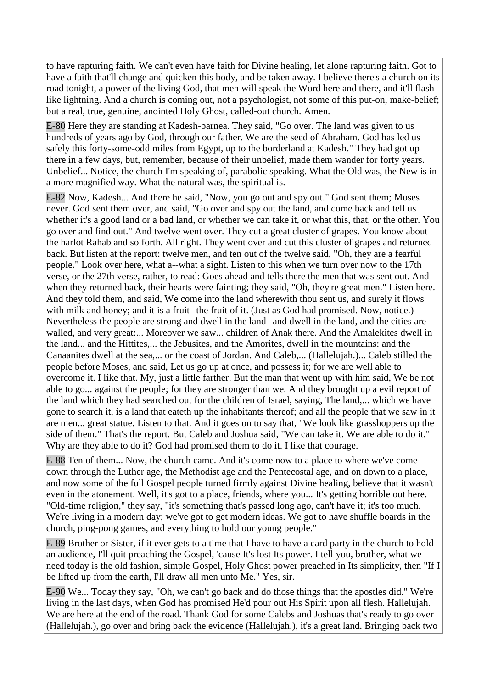to have rapturing faith. We can't even have faith for Divine healing, let alone rapturing faith. Got to have a faith that'll change and quicken this body, and be taken away. I believe there's a church on its road tonight, a power of the living God, that men will speak the Word here and there, and it'll flash like lightning. And a church is coming out, not a psychologist, not some of this put-on, make-belief; but a real, true, genuine, anointed Holy Ghost, called-out church. Amen.

E-80 Here they are standing at Kadesh-barnea. They said, "Go over. The land was given to us hundreds of years ago by God, through our father. We are the seed of Abraham. God has led us safely this forty-some-odd miles from Egypt, up to the borderland at Kadesh." They had got up there in a few days, but, remember, because of their unbelief, made them wander for forty years. Unbelief... Notice, the church I'm speaking of, parabolic speaking. What the Old was, the New is in a more magnified way. What the natural was, the spiritual is.

E-82 Now, Kadesh... And there he said, "Now, you go out and spy out." God sent them; Moses never. God sent them over, and said, "Go over and spy out the land, and come back and tell us whether it's a good land or a bad land, or whether we can take it, or what this, that, or the other. You go over and find out." And twelve went over. They cut a great cluster of grapes. You know about the harlot Rahab and so forth. All right. They went over and cut this cluster of grapes and returned back. But listen at the report: twelve men, and ten out of the twelve said, "Oh, they are a fearful people." Look over here, what a--what a sight. Listen to this when we turn over now to the 17th verse, or the 27th verse, rather, to read: Goes ahead and tells there the men that was sent out. And when they returned back, their hearts were fainting; they said, "Oh, they're great men." Listen here. And they told them, and said, We come into the land wherewith thou sent us, and surely it flows with milk and honey; and it is a fruit--the fruit of it. (Just as God had promised. Now, notice.) Nevertheless the people are strong and dwell in the land--and dwell in the land, and the cities are walled, and very great:... Moreover we saw... children of Anak there. And the Amalekites dwell in the land... and the Hittites,... the Jebusites, and the Amorites, dwell in the mountains: and the Canaanites dwell at the sea,... or the coast of Jordan. And Caleb,... (Hallelujah.)... Caleb stilled the people before Moses, and said, Let us go up at once, and possess it; for we are well able to overcome it. I like that. My, just a little farther. But the man that went up with him said, We be not able to go... against the people; for they are stronger than we. And they brought up a evil report of the land which they had searched out for the children of Israel, saying, The land,... which we have gone to search it, is a land that eateth up the inhabitants thereof; and all the people that we saw in it are men... great statue. Listen to that. And it goes on to say that, "We look like grasshoppers up the side of them." That's the report. But Caleb and Joshua said, "We can take it. We are able to do it." Why are they able to do it? God had promised them to do it. I like that courage.

E-88 Ten of them... Now, the church came. And it's come now to a place to where we've come down through the Luther age, the Methodist age and the Pentecostal age, and on down to a place, and now some of the full Gospel people turned firmly against Divine healing, believe that it wasn't even in the atonement. Well, it's got to a place, friends, where you... It's getting horrible out here. "Old-time religion," they say, "it's something that's passed long ago, can't have it; it's too much. We're living in a modern day; we've got to get modern ideas. We got to have shuffle boards in the church, ping-pong games, and everything to hold our young people."

E-89 Brother or Sister, if it ever gets to a time that I have to have a card party in the church to hold an audience, I'll quit preaching the Gospel, 'cause It's lost Its power. I tell you, brother, what we need today is the old fashion, simple Gospel, Holy Ghost power preached in Its simplicity, then "If I be lifted up from the earth, I'll draw all men unto Me." Yes, sir.

E-90 We... Today they say, "Oh, we can't go back and do those things that the apostles did." We're living in the last days, when God has promised He'd pour out His Spirit upon all flesh. Hallelujah. We are here at the end of the road. Thank God for some Calebs and Joshuas that's ready to go over (Hallelujah.), go over and bring back the evidence (Hallelujah.), it's a great land. Bringing back two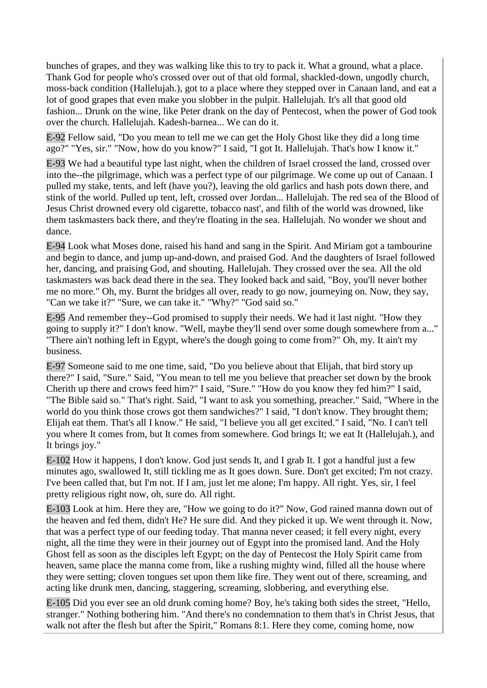bunches of grapes, and they was walking like this to try to pack it. What a ground, what a place. Thank God for people who's crossed over out of that old formal, shackled-down, ungodly church, moss-back condition (Hallelujah.), got to a place where they stepped over in Canaan land, and eat a lot of good grapes that even make you slobber in the pulpit. Hallelujah. It's all that good old fashion... Drunk on the wine, like Peter drank on the day of Pentecost, when the power of God took over the church. Hallelujah. Kadesh-barnea... We can do it.

E-92 Fellow said, "Do you mean to tell me we can get the Holy Ghost like they did a long time ago?" "Yes, sir." "Now, how do you know?" I said, "I got It. Hallelujah. That's how I know it."

E-93 We had a beautiful type last night, when the children of Israel crossed the land, crossed over into the--the pilgrimage, which was a perfect type of our pilgrimage. We come up out of Canaan. I pulled my stake, tents, and left (have you?), leaving the old garlics and hash pots down there, and stink of the world. Pulled up tent, left, crossed over Jordan... Hallelujah. The red sea of the Blood of Jesus Christ drowned every old cigarette, tobacco nast', and filth of the world was drowned, like them taskmasters back there, and they're floating in the sea. Hallelujah. No wonder we shout and dance.

E-94 Look what Moses done, raised his hand and sang in the Spirit. And Miriam got a tambourine and begin to dance, and jump up-and-down, and praised God. And the daughters of Israel followed her, dancing, and praising God, and shouting. Hallelujah. They crossed over the sea. All the old taskmasters was back dead there in the sea. They looked back and said, "Boy, you'll never bother me no more." Oh, my. Burnt the bridges all over, ready to go now, journeying on. Now, they say, "Can we take it?" "Sure, we can take it." "Why?" "God said so."

E-95 And remember they--God promised to supply their needs. We had it last night. "How they going to supply it?" I don't know. "Well, maybe they'll send over some dough somewhere from a..." "There ain't nothing left in Egypt, where's the dough going to come from?" Oh, my. It ain't my business.

E-97 Someone said to me one time, said, "Do you believe about that Elijah, that bird story up there?" I said, "Sure." Said, "You mean to tell me you believe that preacher set down by the brook Cherith up there and crows feed him?" I said, "Sure." "How do you know they fed him?" I said, "The Bible said so." That's right. Said, "I want to ask you something, preacher." Said, "Where in the world do you think those crows got them sandwiches?" I said, "I don't know. They brought them; Elijah eat them. That's all I know." He said, "I believe you all get excited." I said, "No. I can't tell you where It comes from, but It comes from somewhere. God brings It; we eat It (Hallelujah.), and It brings joy."

E-102 How it happens, I don't know. God just sends It, and I grab It. I got a handful just a few minutes ago, swallowed It, still tickling me as It goes down. Sure. Don't get excited; I'm not crazy. I've been called that, but I'm not. If I am, just let me alone; I'm happy. All right. Yes, sir, I feel pretty religious right now, oh, sure do. All right.

E-103 Look at him. Here they are, "How we going to do it?" Now, God rained manna down out of the heaven and fed them, didn't He? He sure did. And they picked it up. We went through it. Now, that was a perfect type of our feeding today. That manna never ceased; it fell every night, every night, all the time they were in their journey out of Egypt into the promised land. And the Holy Ghost fell as soon as the disciples left Egypt; on the day of Pentecost the Holy Spirit came from heaven, same place the manna come from, like a rushing mighty wind, filled all the house where they were setting; cloven tongues set upon them like fire. They went out of there, screaming, and acting like drunk men, dancing, staggering, screaming, slobbering, and everything else.

E-105 Did you ever see an old drunk coming home? Boy, he's taking both sides the street, "Hello, stranger." Nothing bothering him. "And there's no condemnation to them that's in Christ Jesus, that walk not after the flesh but after the Spirit," Romans 8:1. Here they come, coming home, now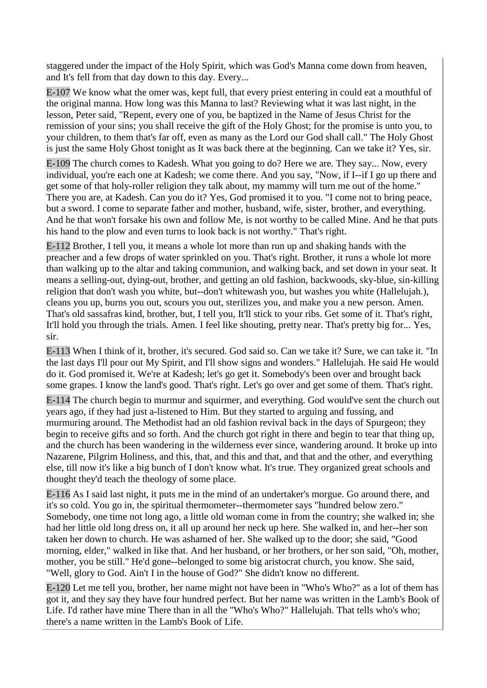staggered under the impact of the Holy Spirit, which was God's Manna come down from heaven, and It's fell from that day down to this day. Every...

E-107 We know what the omer was, kept full, that every priest entering in could eat a mouthful of the original manna. How long was this Manna to last? Reviewing what it was last night, in the lesson, Peter said, "Repent, every one of you, be baptized in the Name of Jesus Christ for the remission of your sins; you shall receive the gift of the Holy Ghost; for the promise is unto you, to your children, to them that's far off, even as many as the Lord our God shall call." The Holy Ghost is just the same Holy Ghost tonight as It was back there at the beginning. Can we take it? Yes, sir.

E-109 The church comes to Kadesh. What you going to do? Here we are. They say... Now, every individual, you're each one at Kadesh; we come there. And you say, "Now, if I--if I go up there and get some of that holy-roller religion they talk about, my mammy will turn me out of the home." There you are, at Kadesh. Can you do it? Yes, God promised it to you. "I come not to bring peace, but a sword. I come to separate father and mother, husband, wife, sister, brother, and everything. And he that won't forsake his own and follow Me, is not worthy to be called Mine. And he that puts his hand to the plow and even turns to look back is not worthy." That's right.

E-112 Brother, I tell you, it means a whole lot more than run up and shaking hands with the preacher and a few drops of water sprinkled on you. That's right. Brother, it runs a whole lot more than walking up to the altar and taking communion, and walking back, and set down in your seat. It means a selling-out, dying-out, brother, and getting an old fashion, backwoods, sky-blue, sin-killing religion that don't wash you white, but--don't whitewash you, but washes you white (Hallelujah.), cleans you up, burns you out, scours you out, sterilizes you, and make you a new person. Amen. That's old sassafras kind, brother, but, I tell you, It'll stick to your ribs. Get some of it. That's right, It'll hold you through the trials. Amen. I feel like shouting, pretty near. That's pretty big for... Yes, sir.

E-113 When I think of it, brother, it's secured. God said so. Can we take it? Sure, we can take it. "In the last days I'll pour out My Spirit, and I'll show signs and wonders." Hallelujah. He said He would do it. God promised it. We're at Kadesh; let's go get it. Somebody's been over and brought back some grapes. I know the land's good. That's right. Let's go over and get some of them. That's right.

E-114 The church begin to murmur and squirmer, and everything. God would've sent the church out years ago, if they had just a-listened to Him. But they started to arguing and fussing, and murmuring around. The Methodist had an old fashion revival back in the days of Spurgeon; they begin to receive gifts and so forth. And the church got right in there and begin to tear that thing up, and the church has been wandering in the wilderness ever since, wandering around. It broke up into Nazarene, Pilgrim Holiness, and this, that, and this and that, and that and the other, and everything else, till now it's like a big bunch of I don't know what. It's true. They organized great schools and thought they'd teach the theology of some place.

E-116 As I said last night, it puts me in the mind of an undertaker's morgue. Go around there, and it's so cold. You go in, the spiritual thermometer--thermometer says "hundred below zero." Somebody, one time not long ago, a little old woman come in from the country; she walked in; she had her little old long dress on, it all up around her neck up here. She walked in, and her--her son taken her down to church. He was ashamed of her. She walked up to the door; she said, "Good morning, elder," walked in like that. And her husband, or her brothers, or her son said, "Oh, mother, mother, you be still." He'd gone--belonged to some big aristocrat church, you know. She said, "Well, glory to God. Ain't I in the house of God?" She didn't know no different.

E-120 Let me tell you, brother, her name might not have been in "Who's Who?" as a lot of them has got it, and they say they have four hundred perfect. But her name was written in the Lamb's Book of Life. I'd rather have mine There than in all the "Who's Who?" Hallelujah. That tells who's who; there's a name written in the Lamb's Book of Life.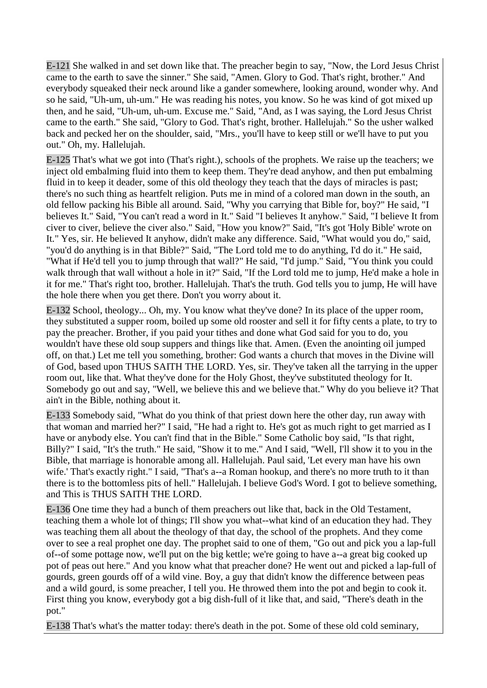E-121 She walked in and set down like that. The preacher begin to say, "Now, the Lord Jesus Christ came to the earth to save the sinner." She said, "Amen. Glory to God. That's right, brother." And everybody squeaked their neck around like a gander somewhere, looking around, wonder why. And so he said, "Uh-um, uh-um." He was reading his notes, you know. So he was kind of got mixed up then, and he said, "Uh-um, uh-um. Excuse me." Said, "And, as I was saying, the Lord Jesus Christ came to the earth." She said, "Glory to God. That's right, brother. Hallelujah." So the usher walked back and pecked her on the shoulder, said, "Mrs., you'll have to keep still or we'll have to put you out." Oh, my. Hallelujah.

E-125 That's what we got into (That's right.), schools of the prophets. We raise up the teachers; we inject old embalming fluid into them to keep them. They're dead anyhow, and then put embalming fluid in to keep it deader, some of this old theology they teach that the days of miracles is past; there's no such thing as heartfelt religion. Puts me in mind of a colored man down in the south, an old fellow packing his Bible all around. Said, "Why you carrying that Bible for, boy?" He said, "I believes It." Said, "You can't read a word in It." Said "I believes It anyhow." Said, "I believe It from civer to civer, believe the civer also." Said, "How you know?" Said, "It's got 'Holy Bible' wrote on It." Yes, sir. He believed It anyhow, didn't make any difference. Said, "What would you do," said, "you'd do anything is in that Bible?" Said, "The Lord told me to do anything, I'd do it." He said, "What if He'd tell you to jump through that wall?" He said, "I'd jump." Said, "You think you could walk through that wall without a hole in it?" Said, "If the Lord told me to jump, He'd make a hole in it for me." That's right too, brother. Hallelujah. That's the truth. God tells you to jump, He will have the hole there when you get there. Don't you worry about it.

E-132 School, theology... Oh, my. You know what they've done? In its place of the upper room, they substituted a supper room, boiled up some old rooster and sell it for fifty cents a plate, to try to pay the preacher. Brother, if you paid your tithes and done what God said for you to do, you wouldn't have these old soup suppers and things like that. Amen. (Even the anointing oil jumped off, on that.) Let me tell you something, brother: God wants a church that moves in the Divine will of God, based upon THUS SAITH THE LORD. Yes, sir. They've taken all the tarrying in the upper room out, like that. What they've done for the Holy Ghost, they've substituted theology for It. Somebody go out and say, "Well, we believe this and we believe that." Why do you believe it? That ain't in the Bible, nothing about it.

E-133 Somebody said, "What do you think of that priest down here the other day, run away with that woman and married her?" I said, "He had a right to. He's got as much right to get married as I have or anybody else. You can't find that in the Bible." Some Catholic boy said, "Is that right, Billy?" I said, "It's the truth." He said, "Show it to me." And I said, "Well, I'll show it to you in the Bible, that marriage is honorable among all. Hallelujah. Paul said, 'Let every man have his own wife.' That's exactly right." I said, "That's a--a Roman hookup, and there's no more truth to it than there is to the bottomless pits of hell." Hallelujah. I believe God's Word. I got to believe something, and This is THUS SAITH THE LORD.

E-136 One time they had a bunch of them preachers out like that, back in the Old Testament, teaching them a whole lot of things; I'll show you what--what kind of an education they had. They was teaching them all about the theology of that day, the school of the prophets. And they come over to see a real prophet one day. The prophet said to one of them, "Go out and pick you a lap-full of--of some pottage now, we'll put on the big kettle; we're going to have a--a great big cooked up pot of peas out here." And you know what that preacher done? He went out and picked a lap-full of gourds, green gourds off of a wild vine. Boy, a guy that didn't know the difference between peas and a wild gourd, is some preacher, I tell you. He throwed them into the pot and begin to cook it. First thing you know, everybody got a big dish-full of it like that, and said, "There's death in the pot."

E-138 That's what's the matter today: there's death in the pot. Some of these old cold seminary,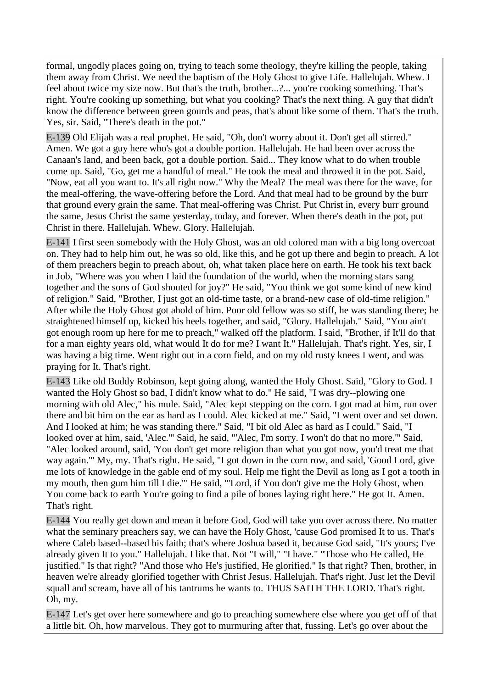formal, ungodly places going on, trying to teach some theology, they're killing the people, taking them away from Christ. We need the baptism of the Holy Ghost to give Life. Hallelujah. Whew. I feel about twice my size now. But that's the truth, brother...?... you're cooking something. That's right. You're cooking up something, but what you cooking? That's the next thing. A guy that didn't know the difference between green gourds and peas, that's about like some of them. That's the truth. Yes, sir. Said, "There's death in the pot."

E-139 Old Elijah was a real prophet. He said, "Oh, don't worry about it. Don't get all stirred." Amen. We got a guy here who's got a double portion. Hallelujah. He had been over across the Canaan's land, and been back, got a double portion. Said... They know what to do when trouble come up. Said, "Go, get me a handful of meal." He took the meal and throwed it in the pot. Said, "Now, eat all you want to. It's all right now." Why the Meal? The meal was there for the wave, for the meal-offering, the wave-offering before the Lord. And that meal had to be ground by the burr that ground every grain the same. That meal-offering was Christ. Put Christ in, every burr ground the same, Jesus Christ the same yesterday, today, and forever. When there's death in the pot, put Christ in there. Hallelujah. Whew. Glory. Hallelujah.

E-141 I first seen somebody with the Holy Ghost, was an old colored man with a big long overcoat on. They had to help him out, he was so old, like this, and he got up there and begin to preach. A lot of them preachers begin to preach about, oh, what taken place here on earth. He took his text back in Job, "Where was you when I laid the foundation of the world, when the morning stars sang together and the sons of God shouted for joy?" He said, "You think we got some kind of new kind of religion." Said, "Brother, I just got an old-time taste, or a brand-new case of old-time religion." After while the Holy Ghost got ahold of him. Poor old fellow was so stiff, he was standing there; he straightened himself up, kicked his heels together, and said, "Glory. Hallelujah." Said, "You ain't got enough room up here for me to preach," walked off the platform. I said, "Brother, if It'll do that for a man eighty years old, what would It do for me? I want It." Hallelujah. That's right. Yes, sir, I was having a big time. Went right out in a corn field, and on my old rusty knees I went, and was praying for It. That's right.

E-143 Like old Buddy Robinson, kept going along, wanted the Holy Ghost. Said, "Glory to God. I wanted the Holy Ghost so bad, I didn't know what to do." He said, "I was dry--plowing one morning with old Alec," his mule. Said, "Alec kept stepping on the corn. I got mad at him, run over there and bit him on the ear as hard as I could. Alec kicked at me." Said, "I went over and set down. And I looked at him; he was standing there." Said, "I bit old Alec as hard as I could." Said, "I looked over at him, said, 'Alec.'" Said, he said, "'Alec, I'm sorry. I won't do that no more.'" Said, "Alec looked around, said, 'You don't get more religion than what you got now, you'd treat me that way again.'" My, my. That's right. He said, "I got down in the corn row, and said, 'Good Lord, give me lots of knowledge in the gable end of my soul. Help me fight the Devil as long as I got a tooth in my mouth, then gum him till I die.'" He said, "'Lord, if You don't give me the Holy Ghost, when You come back to earth You're going to find a pile of bones laying right here." He got It. Amen. That's right.

E-144 You really get down and mean it before God, God will take you over across there. No matter what the seminary preachers say, we can have the Holy Ghost, 'cause God promised It to us. That's where Caleb based--based his faith; that's where Joshua based it, because God said, "It's yours; I've already given It to you." Hallelujah. I like that. Not "I will," "I have." "Those who He called, He justified." Is that right? "And those who He's justified, He glorified." Is that right? Then, brother, in heaven we're already glorified together with Christ Jesus. Hallelujah. That's right. Just let the Devil squall and scream, have all of his tantrums he wants to. THUS SAITH THE LORD. That's right. Oh, my.

E-147 Let's get over here somewhere and go to preaching somewhere else where you get off of that a little bit. Oh, how marvelous. They got to murmuring after that, fussing. Let's go over about the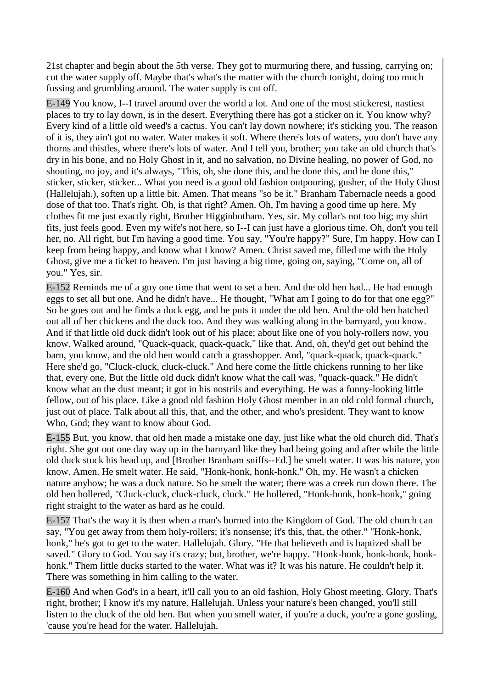21st chapter and begin about the 5th verse. They got to murmuring there, and fussing, carrying on; cut the water supply off. Maybe that's what's the matter with the church tonight, doing too much fussing and grumbling around. The water supply is cut off.

E-149 You know, I--I travel around over the world a lot. And one of the most stickerest, nastiest places to try to lay down, is in the desert. Everything there has got a sticker on it. You know why? Every kind of a little old weed's a cactus. You can't lay down nowhere; it's sticking you. The reason of it is, they ain't got no water. Water makes it soft. Where there's lots of waters, you don't have any thorns and thistles, where there's lots of water. And I tell you, brother; you take an old church that's dry in his bone, and no Holy Ghost in it, and no salvation, no Divine healing, no power of God, no shouting, no joy, and it's always, "This, oh, she done this, and he done this, and he done this," sticker, sticker, sticker... What you need is a good old fashion outpouring, gusher, of the Holy Ghost (Hallelujah.), soften up a little bit. Amen. That means "so be it." Branham Tabernacle needs a good dose of that too. That's right. Oh, is that right? Amen. Oh, I'm having a good time up here. My clothes fit me just exactly right, Brother Higginbotham. Yes, sir. My collar's not too big; my shirt fits, just feels good. Even my wife's not here, so I--I can just have a glorious time. Oh, don't you tell her, no. All right, but I'm having a good time. You say, "You're happy?" Sure, I'm happy. How can I keep from being happy, and know what I know? Amen. Christ saved me, filled me with the Holy Ghost, give me a ticket to heaven. I'm just having a big time, going on, saying, "Come on, all of you." Yes, sir.

E-152 Reminds me of a guy one time that went to set a hen. And the old hen had... He had enough eggs to set all but one. And he didn't have... He thought, "What am I going to do for that one egg?" So he goes out and he finds a duck egg, and he puts it under the old hen. And the old hen hatched out all of her chickens and the duck too. And they was walking along in the barnyard, you know. And if that little old duck didn't look out of his place; about like one of you holy-rollers now, you know. Walked around, "Quack-quack, quack-quack," like that. And, oh, they'd get out behind the barn, you know, and the old hen would catch a grasshopper. And, "quack-quack, quack-quack." Here she'd go, "Cluck-cluck, cluck-cluck." And here come the little chickens running to her like that, every one. But the little old duck didn't know what the call was, "quack-quack." He didn't know what an the dust meant; it got in his nostrils and everything. He was a funny-looking little fellow, out of his place. Like a good old fashion Holy Ghost member in an old cold formal church, just out of place. Talk about all this, that, and the other, and who's president. They want to know Who, God; they want to know about God.

E-155 But, you know, that old hen made a mistake one day, just like what the old church did. That's right. She got out one day way up in the barnyard like they had being going and after while the little old duck stuck his head up, and [Brother Branham sniffs--Ed.] he smelt water. It was his nature, you know. Amen. He smelt water. He said, "Honk-honk, honk-honk." Oh, my. He wasn't a chicken nature anyhow; he was a duck nature. So he smelt the water; there was a creek run down there. The old hen hollered, "Cluck-cluck, cluck-cluck, cluck." He hollered, "Honk-honk, honk-honk," going right straight to the water as hard as he could.

E-157 That's the way it is then when a man's borned into the Kingdom of God. The old church can say, "You get away from them holy-rollers; it's nonsense; it's this, that, the other." "Honk-honk, honk," he's got to get to the water. Hallelujah. Glory. "He that believeth and is baptized shall be saved." Glory to God. You say it's crazy; but, brother, we're happy. "Honk-honk, honk-honk, honkhonk." Them little ducks started to the water. What was it? It was his nature. He couldn't help it. There was something in him calling to the water.

E-160 And when God's in a heart, it'll call you to an old fashion, Holy Ghost meeting. Glory. That's right, brother; I know it's my nature. Hallelujah. Unless your nature's been changed, you'll still listen to the cluck of the old hen. But when you smell water, if you're a duck, you're a gone gosling, 'cause you're head for the water. Hallelujah.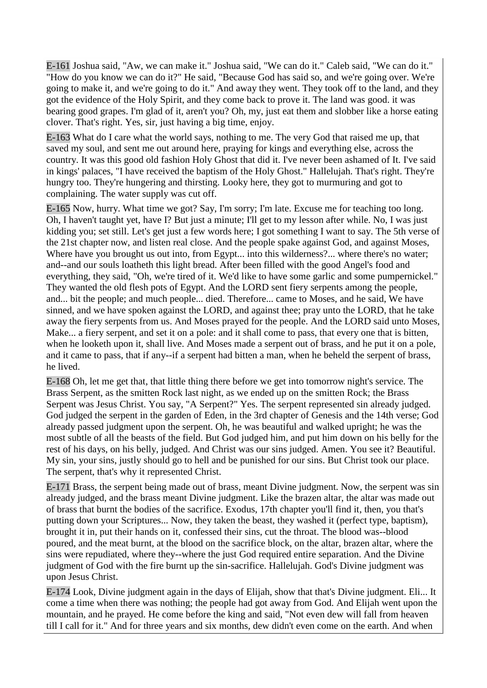E-161 Joshua said, "Aw, we can make it." Joshua said, "We can do it." Caleb said, "We can do it." "How do you know we can do it?" He said, "Because God has said so, and we're going over. We're going to make it, and we're going to do it." And away they went. They took off to the land, and they got the evidence of the Holy Spirit, and they come back to prove it. The land was good. it was bearing good grapes. I'm glad of it, aren't you? Oh, my, just eat them and slobber like a horse eating clover. That's right. Yes, sir, just having a big time, enjoy.

E-163 What do I care what the world says, nothing to me. The very God that raised me up, that saved my soul, and sent me out around here, praying for kings and everything else, across the country. It was this good old fashion Holy Ghost that did it. I've never been ashamed of It. I've said in kings' palaces, "I have received the baptism of the Holy Ghost." Hallelujah. That's right. They're hungry too. They're hungering and thirsting. Looky here, they got to murmuring and got to complaining. The water supply was cut off.

E-165 Now, hurry. What time we got? Say, I'm sorry; I'm late. Excuse me for teaching too long. Oh, I haven't taught yet, have I? But just a minute; I'll get to my lesson after while. No, I was just kidding you; set still. Let's get just a few words here; I got something I want to say. The 5th verse of the 21st chapter now, and listen real close. And the people spake against God, and against Moses, Where have you brought us out into, from Egypt... into this wilderness?... where there's no water; and--and our souls loatheth this light bread. After been filled with the good Angel's food and everything, they said, "Oh, we're tired of it. We'd like to have some garlic and some pumpernickel." They wanted the old flesh pots of Egypt. And the LORD sent fiery serpents among the people, and... bit the people; and much people... died. Therefore... came to Moses, and he said, We have sinned, and we have spoken against the LORD, and against thee; pray unto the LORD, that he take away the fiery serpents from us. And Moses prayed for the people. And the LORD said unto Moses, Make... a fiery serpent, and set it on a pole: and it shall come to pass, that every one that is bitten, when he looketh upon it, shall live. And Moses made a serpent out of brass, and he put it on a pole, and it came to pass, that if any--if a serpent had bitten a man, when he beheld the serpent of brass, he lived.

E-168 Oh, let me get that, that little thing there before we get into tomorrow night's service. The Brass Serpent, as the smitten Rock last night, as we ended up on the smitten Rock; the Brass Serpent was Jesus Christ. You say, "A Serpent?" Yes. The serpent represented sin already judged. God judged the serpent in the garden of Eden, in the 3rd chapter of Genesis and the 14th verse; God already passed judgment upon the serpent. Oh, he was beautiful and walked upright; he was the most subtle of all the beasts of the field. But God judged him, and put him down on his belly for the rest of his days, on his belly, judged. And Christ was our sins judged. Amen. You see it? Beautiful. My sin, your sins, justly should go to hell and be punished for our sins. But Christ took our place. The serpent, that's why it represented Christ.

E-171 Brass, the serpent being made out of brass, meant Divine judgment. Now, the serpent was sin already judged, and the brass meant Divine judgment. Like the brazen altar, the altar was made out of brass that burnt the bodies of the sacrifice. Exodus, 17th chapter you'll find it, then, you that's putting down your Scriptures... Now, they taken the beast, they washed it (perfect type, baptism), brought it in, put their hands on it, confessed their sins, cut the throat. The blood was--blood poured, and the meat burnt, at the blood on the sacrifice block, on the altar, brazen altar, where the sins were repudiated, where they--where the just God required entire separation. And the Divine judgment of God with the fire burnt up the sin-sacrifice. Hallelujah. God's Divine judgment was upon Jesus Christ.

E-174 Look, Divine judgment again in the days of Elijah, show that that's Divine judgment. Eli... It come a time when there was nothing; the people had got away from God. And Elijah went upon the mountain, and he prayed. He come before the king and said, "Not even dew will fall from heaven till I call for it." And for three years and six months, dew didn't even come on the earth. And when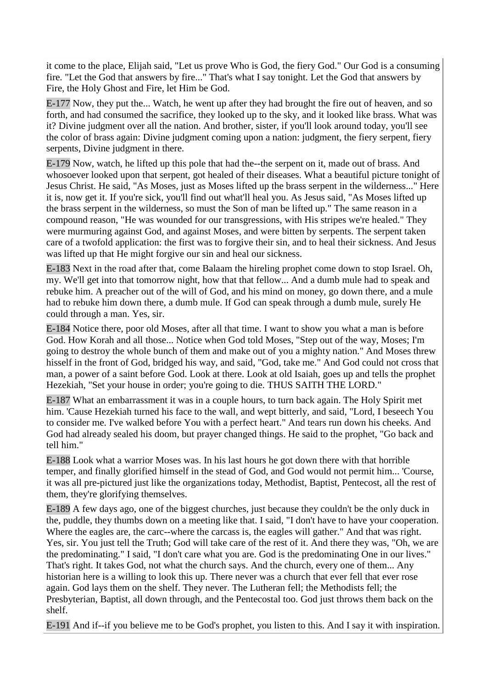it come to the place, Elijah said, "Let us prove Who is God, the fiery God." Our God is a consuming fire. "Let the God that answers by fire..." That's what I say tonight. Let the God that answers by Fire, the Holy Ghost and Fire, let Him be God.

E-177 Now, they put the... Watch, he went up after they had brought the fire out of heaven, and so forth, and had consumed the sacrifice, they looked up to the sky, and it looked like brass. What was it? Divine judgment over all the nation. And brother, sister, if you'll look around today, you'll see the color of brass again: Divine judgment coming upon a nation: judgment, the fiery serpent, fiery serpents, Divine judgment in there.

E-179 Now, watch, he lifted up this pole that had the--the serpent on it, made out of brass. And whosoever looked upon that serpent, got healed of their diseases. What a beautiful picture tonight of Jesus Christ. He said, "As Moses, just as Moses lifted up the brass serpent in the wilderness..." Here it is, now get it. If you're sick, you'll find out what'll heal you. As Jesus said, "As Moses lifted up the brass serpent in the wilderness, so must the Son of man be lifted up." The same reason in a compound reason, "He was wounded for our transgressions, with His stripes we're healed." They were murmuring against God, and against Moses, and were bitten by serpents. The serpent taken care of a twofold application: the first was to forgive their sin, and to heal their sickness. And Jesus was lifted up that He might forgive our sin and heal our sickness.

E-183 Next in the road after that, come Balaam the hireling prophet come down to stop Israel. Oh, my. We'll get into that tomorrow night, how that that fellow... And a dumb mule had to speak and rebuke him. A preacher out of the will of God, and his mind on money, go down there, and a mule had to rebuke him down there, a dumb mule. If God can speak through a dumb mule, surely He could through a man. Yes, sir.

E-184 Notice there, poor old Moses, after all that time. I want to show you what a man is before God. How Korah and all those... Notice when God told Moses, "Step out of the way, Moses; I'm going to destroy the whole bunch of them and make out of you a mighty nation." And Moses threw hisself in the front of God, bridged his way, and said, "God, take me." And God could not cross that man, a power of a saint before God. Look at there. Look at old Isaiah, goes up and tells the prophet Hezekiah, "Set your house in order; you're going to die. THUS SAITH THE LORD."

E-187 What an embarrassment it was in a couple hours, to turn back again. The Holy Spirit met him. 'Cause Hezekiah turned his face to the wall, and wept bitterly, and said, "Lord, I beseech You to consider me. I've walked before You with a perfect heart." And tears run down his cheeks. And God had already sealed his doom, but prayer changed things. He said to the prophet, "Go back and tell him."

E-188 Look what a warrior Moses was. In his last hours he got down there with that horrible temper, and finally glorified himself in the stead of God, and God would not permit him... 'Course, it was all pre-pictured just like the organizations today, Methodist, Baptist, Pentecost, all the rest of them, they're glorifying themselves.

E-189 A few days ago, one of the biggest churches, just because they couldn't be the only duck in the, puddle, they thumbs down on a meeting like that. I said, "I don't have to have your cooperation. Where the eagles are, the carc--where the carcass is, the eagles will gather." And that was right. Yes, sir. You just tell the Truth; God will take care of the rest of it. And there they was, "Oh, we are the predominating." I said, "I don't care what you are. God is the predominating One in our lives." That's right. It takes God, not what the church says. And the church, every one of them... Any historian here is a willing to look this up. There never was a church that ever fell that ever rose again. God lays them on the shelf. They never. The Lutheran fell; the Methodists fell; the Presbyterian, Baptist, all down through, and the Pentecostal too. God just throws them back on the shelf.

E-191 And if--if you believe me to be God's prophet, you listen to this. And I say it with inspiration.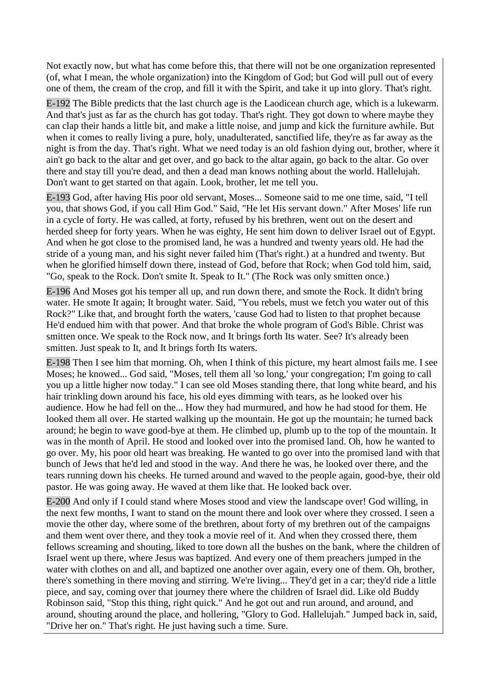Not exactly now, but what has come before this, that there will not be one organization represented (of, what I mean, the whole organization) into the Kingdom of God; but God will pull out of every one of them, the cream of the crop, and fill it with the Spirit, and take it up into glory. That's right.

E-192 The Bible predicts that the last church age is the Laodicean church age, which is a lukewarm. And that's just as far as the church has got today. That's right. They got down to where maybe they can clap their hands a little bit, and make a little noise, and jump and kick the furniture awhile. But when it comes to really living a pure, holy, unadulterated, sanctified life, they're as far away as the night is from the day. That's right. What we need today is an old fashion dying out, brother, where it ain't go back to the altar and get over, and go back to the altar again, go back to the altar. Go over there and stay till you're dead, and then a dead man knows nothing about the world. Hallelujah. Don't want to get started on that again. Look, brother, let me tell you.

E-193 God, after having His poor old servant, Moses... Someone said to me one time, said, "I tell you, that shows God, if you call Him God." Said, "He let His servant down." After Moses' life run in a cycle of forty. He was called, at forty, refused by his brethren, went out on the desert and herded sheep for forty years. When he was eighty, He sent him down to deliver Israel out of Egypt. And when he got close to the promised land, he was a hundred and twenty years old. He had the stride of a young man, and his sight never failed him (That's right.) at a hundred and twenty. But when he glorified himself down there, instead of God, before that Rock; when God told him, said, "Go, speak to the Rock. Don't smite It. Speak to It." (The Rock was only smitten once.)

E-196 And Moses got his temper all up, and run down there, and smote the Rock. It didn't bring water. He smote It again; It brought water. Said, "You rebels, must we fetch you water out of this Rock?" Like that, and brought forth the waters, 'cause God had to listen to that prophet because He'd endued him with that power. And that broke the whole program of God's Bible. Christ was smitten once. We speak to the Rock now, and It brings forth Its water. See? It's already been smitten. Just speak to It, and It brings forth Its waters.

E-198 Then I see him that morning. Oh, when I think of this picture, my heart almost fails me. I see Moses; he knowed... God said, "Moses, tell them all 'so long,' your congregation; I'm going to call you up a little higher now today." I can see old Moses standing there, that long white beard, and his hair trinkling down around his face, his old eyes dimming with tears, as he looked over his audience. How he had fell on the... How they had murmured, and how he had stood for them. He looked them all over. He started walking up the mountain. He got up the mountain; he turned back around; he begin to wave good-bye at them. He climbed up, plumb up to the top of the mountain. It was in the month of April. He stood and looked over into the promised land. Oh, how he wanted to go over. My, his poor old heart was breaking. He wanted to go over into the promised land with that bunch of Jews that he'd led and stood in the way. And there he was, he looked over there, and the tears running down his cheeks. He turned around and waved to the people again, good-bye, their old pastor. He was going away. He waved at them like that. He looked back over.

E-200 And only if I could stand where Moses stood and view the landscape over! God willing, in the next few months, I want to stand on the mount there and look over where they crossed. I seen a movie the other day, where some of the brethren, about forty of my brethren out of the campaigns and them went over there, and they took a movie reel of it. And when they crossed there, them fellows screaming and shouting, liked to tore down all the bushes on the bank, where the children of Israel went up there, where Jesus was baptized. And every one of them preachers jumped in the water with clothes on and all, and baptized one another over again, every one of them. Oh, brother, there's something in there moving and stirring. We're living... They'd get in a car; they'd ride a little piece, and say, coming over that journey there where the children of Israel did. Like old Buddy Robinson said, "Stop this thing, right quick." And he got out and run around, and around, and around, shouting around the place, and hollering, "Glory to God. Hallelujah." Jumped back in, said, "Drive her on." That's right. He just having such a time. Sure.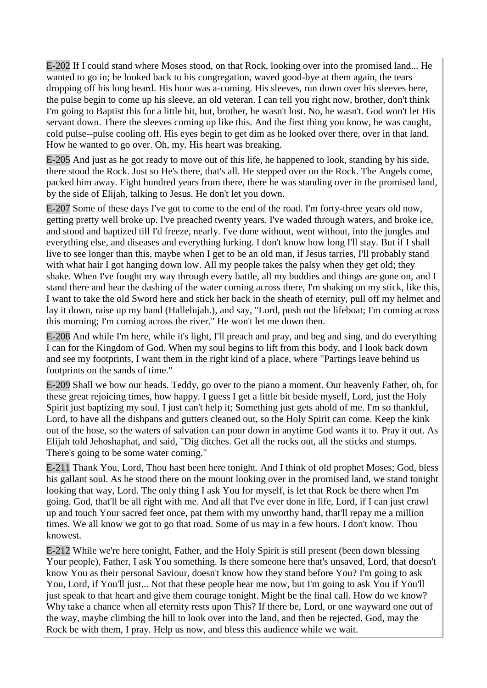E-202 If I could stand where Moses stood, on that Rock, looking over into the promised land... He wanted to go in; he looked back to his congregation, waved good-bye at them again, the tears dropping off his long beard. His hour was a-coming. His sleeves, run down over his sleeves here, the pulse begin to come up his sleeve, an old veteran. I can tell you right now, brother, don't think I'm going to Baptist this for a little bit, but, brother, he wasn't lost. No, he wasn't. God won't let His servant down. There the sleeves coming up like this. And the first thing you know, he was caught, cold pulse--pulse cooling off. His eyes begin to get dim as he looked over there, over in that land. How he wanted to go over. Oh, my. His heart was breaking.

E-205 And just as he got ready to move out of this life, he happened to look, standing by his side, there stood the Rock. Just so He's there, that's all. He stepped over on the Rock. The Angels come, packed him away. Eight hundred years from there, there he was standing over in the promised land, by the side of Elijah, talking to Jesus. He don't let you down.

E-207 Some of these days I've got to come to the end of the road. I'm forty-three years old now, getting pretty well broke up. I've preached twenty years. I've waded through waters, and broke ice, and stood and baptized till I'd freeze, nearly. I've done without, went without, into the jungles and everything else, and diseases and everything lurking. I don't know how long I'll stay. But if I shall live to see longer than this, maybe when I get to be an old man, if Jesus tarries, I'll probably stand with what hair I got hanging down low. All my people takes the palsy when they get old; they shake. When I've fought my way through every battle, all my buddies and things are gone on, and I stand there and hear the dashing of the water coming across there, I'm shaking on my stick, like this, I want to take the old Sword here and stick her back in the sheath of eternity, pull off my helmet and lay it down, raise up my hand (Hallelujah.), and say, "Lord, push out the lifeboat; I'm coming across this morning; I'm coming across the river." He won't let me down then.

E-208 And while I'm here, while it's light, I'll preach and pray, and beg and sing, and do everything I can for the Kingdom of God. When my soul begins to lift from this body, and I look back down and see my footprints, I want them in the right kind of a place, where "Partings leave behind us footprints on the sands of time."

E-209 Shall we bow our heads. Teddy, go over to the piano a moment. Our heavenly Father, oh, for these great rejoicing times, how happy. I guess I get a little bit beside myself, Lord, just the Holy Spirit just baptizing my soul. I just can't help it: Something just gets ahold of me. I'm so thankful, Lord, to have all the dishpans and gutters cleaned out, so the Holy Spirit can come. Keep the kink out of the hose, so the waters of salvation can pour down in anytime God wants it to. Pray it out. As Elijah told Jehoshaphat, and said, "Dig ditches. Get all the rocks out, all the sticks and stumps. There's going to be some water coming."

E-211 Thank You, Lord, Thou hast been here tonight. And I think of old prophet Moses; God, bless his gallant soul. As he stood there on the mount looking over in the promised land, we stand tonight looking that way, Lord. The only thing I ask You for myself, is let that Rock be there when I'm going. God, that'll be all right with me. And all that I've ever done in life, Lord, if I can just crawl up and touch Your sacred feet once, pat them with my unworthy hand, that'll repay me a million times. We all know we got to go that road. Some of us may in a few hours. I don't know. Thou knowest.

E-212 While we're here tonight, Father, and the Holy Spirit is still present (been down blessing Your people), Father, I ask You something. Is there someone here that's unsaved, Lord, that doesn't know You as their personal Saviour, doesn't know how they stand before You? I'm going to ask You, Lord, if You'll just... Not that these people hear me now, but I'm going to ask You if You'll just speak to that heart and give them courage tonight. Might be the final call. How do we know? Why take a chance when all eternity rests upon This? If there be, Lord, or one wayward one out of the way, maybe climbing the hill to look over into the land, and then be rejected. God, may the Rock be with them, I pray. Help us now, and bless this audience while we wait.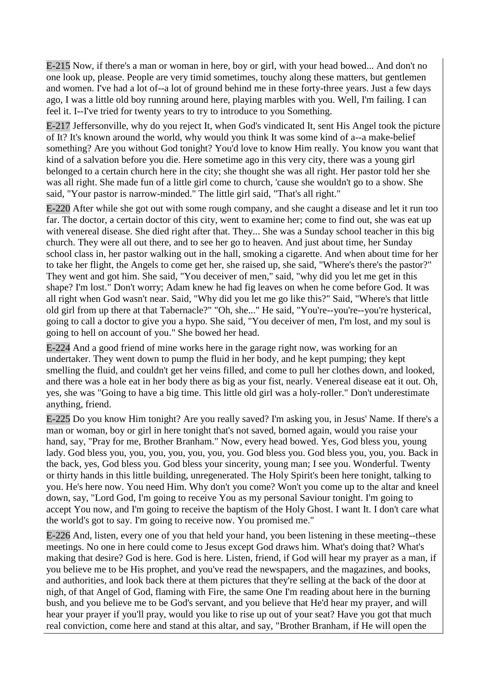E-215 Now, if there's a man or woman in here, boy or girl, with your head bowed... And don't no one look up, please. People are very timid sometimes, touchy along these matters, but gentlemen and women. I've had a lot of--a lot of ground behind me in these forty-three years. Just a few days ago, I was a little old boy running around here, playing marbles with you. Well, I'm failing. I can feel it. I--I've tried for twenty years to try to introduce to you Something.

E-217 Jeffersonville, why do you reject It, when God's vindicated It, sent His Angel took the picture of It? It's known around the world, why would you think It was some kind of a--a make-belief something? Are you without God tonight? You'd love to know Him really. You know you want that kind of a salvation before you die. Here sometime ago in this very city, there was a young girl belonged to a certain church here in the city; she thought she was all right. Her pastor told her she was all right. She made fun of a little girl come to church, 'cause she wouldn't go to a show. She said, "Your pastor is narrow-minded." The little girl said, "That's all right."

E-220 After while she got out with some rough company, and she caught a disease and let it run too far. The doctor, a certain doctor of this city, went to examine her; come to find out, she was eat up with venereal disease. She died right after that. They... She was a Sunday school teacher in this big church. They were all out there, and to see her go to heaven. And just about time, her Sunday school class in, her pastor walking out in the hall, smoking a cigarette. And when about time for her to take her flight, the Angels to come get her, she raised up, she said, "Where's there's the pastor?" They went and got him. She said, "You deceiver of men," said, "why did you let me get in this shape? I'm lost." Don't worry; Adam knew he had fig leaves on when he come before God. It was all right when God wasn't near. Said, "Why did you let me go like this?" Said, "Where's that little old girl from up there at that Tabernacle?" "Oh, she..." He said, "You're--you're--you're hysterical, going to call a doctor to give you a hypo. She said, "You deceiver of men, I'm lost, and my soul is going to hell on account of you." She bowed her head.

E-224 And a good friend of mine works here in the garage right now, was working for an undertaker. They went down to pump the fluid in her body, and he kept pumping; they kept smelling the fluid, and couldn't get her veins filled, and come to pull her clothes down, and looked, and there was a hole eat in her body there as big as your fist, nearly. Venereal disease eat it out. Oh, yes, she was "Going to have a big time. This little old girl was a holy-roller." Don't underestimate anything, friend.

E-225 Do you know Him tonight? Are you really saved? I'm asking you, in Jesus' Name. If there's a man or woman, boy or girl in here tonight that's not saved, borned again, would you raise your hand, say, "Pray for me, Brother Branham." Now, every head bowed. Yes, God bless you, young lady. God bless you, you, you, you, you, you, you. God bless you. God bless you, you, you. Back in the back, yes, God bless you. God bless your sincerity, young man; I see you. Wonderful. Twenty or thirty hands in this little building, unregenerated. The Holy Spirit's been here tonight, talking to you. He's here now. You need Him. Why don't you come? Won't you come up to the altar and kneel down, say, "Lord God, I'm going to receive You as my personal Saviour tonight. I'm going to accept You now, and I'm going to receive the baptism of the Holy Ghost. I want It. I don't care what the world's got to say. I'm going to receive now. You promised me."

E-226 And, listen, every one of you that held your hand, you been listening in these meeting--these meetings. No one in here could come to Jesus except God draws him. What's doing that? What's making that desire? God is here. God is here. Listen, friend, if God will hear my prayer as a man, if you believe me to be His prophet, and you've read the newspapers, and the magazines, and books, and authorities, and look back there at them pictures that they're selling at the back of the door at nigh, of that Angel of God, flaming with Fire, the same One I'm reading about here in the burning bush, and you believe me to be God's servant, and you believe that He'd hear my prayer, and will hear your prayer if you'll pray, would you like to rise up out of your seat? Have you got that much real conviction, come here and stand at this altar, and say, "Brother Branham, if He will open the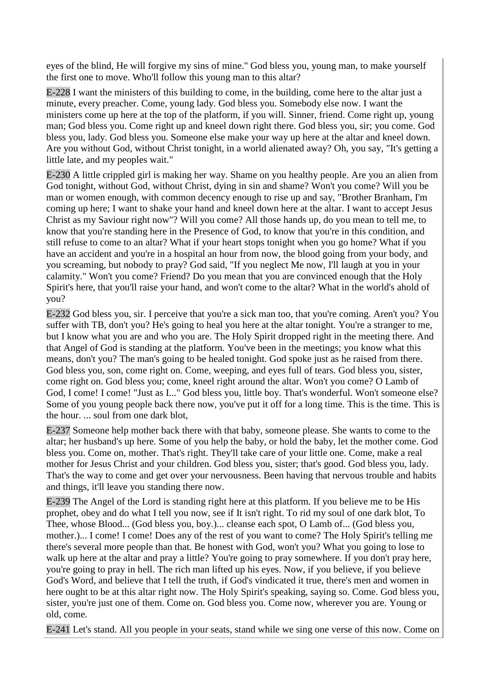eyes of the blind, He will forgive my sins of mine." God bless you, young man, to make yourself the first one to move. Who'll follow this young man to this altar?

E-228 I want the ministers of this building to come, in the building, come here to the altar just a minute, every preacher. Come, young lady. God bless you. Somebody else now. I want the ministers come up here at the top of the platform, if you will. Sinner, friend. Come right up, young man; God bless you. Come right up and kneel down right there. God bless you, sir; you come. God bless you, lady. God bless you. Someone else make your way up here at the altar and kneel down. Are you without God, without Christ tonight, in a world alienated away? Oh, you say, "It's getting a little late, and my peoples wait."

E-230 A little crippled girl is making her way. Shame on you healthy people. Are you an alien from God tonight, without God, without Christ, dying in sin and shame? Won't you come? Will you be man or women enough, with common decency enough to rise up and say, "Brother Branham, I'm coming up here; I want to shake your hand and kneel down here at the altar. I want to accept Jesus Christ as my Saviour right now"? Will you come? All those hands up, do you mean to tell me, to know that you're standing here in the Presence of God, to know that you're in this condition, and still refuse to come to an altar? What if your heart stops tonight when you go home? What if you have an accident and you're in a hospital an hour from now, the blood going from your body, and you screaming, but nobody to pray? God said, "If you neglect Me now, I'll laugh at you in your calamity." Won't you come? Friend? Do you mean that you are convinced enough that the Holy Spirit's here, that you'll raise your hand, and won't come to the altar? What in the world's ahold of you?

E-232 God bless you, sir. I perceive that you're a sick man too, that you're coming. Aren't you? You suffer with TB, don't you? He's going to heal you here at the altar tonight. You're a stranger to me, but I know what you are and who you are. The Holy Spirit dropped right in the meeting there. And that Angel of God is standing at the platform. You've been in the meetings; you know what this means, don't you? The man's going to be healed tonight. God spoke just as he raised from there. God bless you, son, come right on. Come, weeping, and eyes full of tears. God bless you, sister, come right on. God bless you; come, kneel right around the altar. Won't you come? O Lamb of God, I come! I come! "Just as I..." God bless you, little boy. That's wonderful. Won't someone else? Some of you young people back there now, you've put it off for a long time. This is the time. This is the hour. ... soul from one dark blot,

E-237 Someone help mother back there with that baby, someone please. She wants to come to the altar; her husband's up here. Some of you help the baby, or hold the baby, let the mother come. God bless you. Come on, mother. That's right. They'll take care of your little one. Come, make a real mother for Jesus Christ and your children. God bless you, sister; that's good. God bless you, lady. That's the way to come and get over your nervousness. Been having that nervous trouble and habits and things, it'll leave you standing there now.

E-239 The Angel of the Lord is standing right here at this platform. If you believe me to be His prophet, obey and do what I tell you now, see if It isn't right. To rid my soul of one dark blot, To Thee, whose Blood... (God bless you, boy.)... cleanse each spot, O Lamb of... (God bless you, mother.)... I come! I come! Does any of the rest of you want to come? The Holy Spirit's telling me there's several more people than that. Be honest with God, won't you? What you going to lose to walk up here at the altar and pray a little? You're going to pray somewhere. If you don't pray here, you're going to pray in hell. The rich man lifted up his eyes. Now, if you believe, if you believe God's Word, and believe that I tell the truth, if God's vindicated it true, there's men and women in here ought to be at this altar right now. The Holy Spirit's speaking, saying so. Come. God bless you, sister, you're just one of them. Come on. God bless you. Come now, wherever you are. Young or old, come.

E-241 Let's stand. All you people in your seats, stand while we sing one verse of this now. Come on